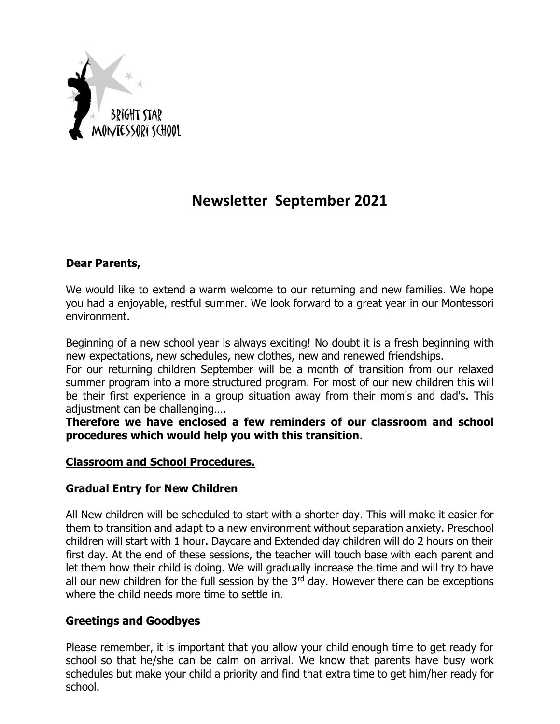

# **Newsletter September 2021**

#### **Dear Parents,**

We would like to extend a warm welcome to our returning and new families. We hope you had a enjoyable, restful summer. We look forward to a great year in our Montessori environment.

Beginning of a new school year is always exciting! No doubt it is a fresh beginning with new expectations, new schedules, new clothes, new and renewed friendships.

For our returning children September will be a month of transition from our relaxed summer program into a more structured program. For most of our new children this will be their first experience in a group situation away from their mom's and dad's. This adjustment can be challenging….

**Therefore we have enclosed a few reminders of our classroom and school procedures which would help you with this transition**.

#### **Classroom and School Procedures.**

#### **Gradual Entry for New Children**

All New children will be scheduled to start with a shorter day. This will make it easier for them to transition and adapt to a new environment without separation anxiety. Preschool children will start with 1 hour. Daycare and Extended day children will do 2 hours on their first day. At the end of these sessions, the teacher will touch base with each parent and let them how their child is doing. We will gradually increase the time and will try to have all our new children for the full session by the  $3<sup>rd</sup>$  day. However there can be exceptions where the child needs more time to settle in.

#### **Greetings and Goodbyes**

Please remember, it is important that you allow your child enough time to get ready for school so that he/she can be calm on arrival. We know that parents have busy work schedules but make your child a priority and find that extra time to get him/her ready for school.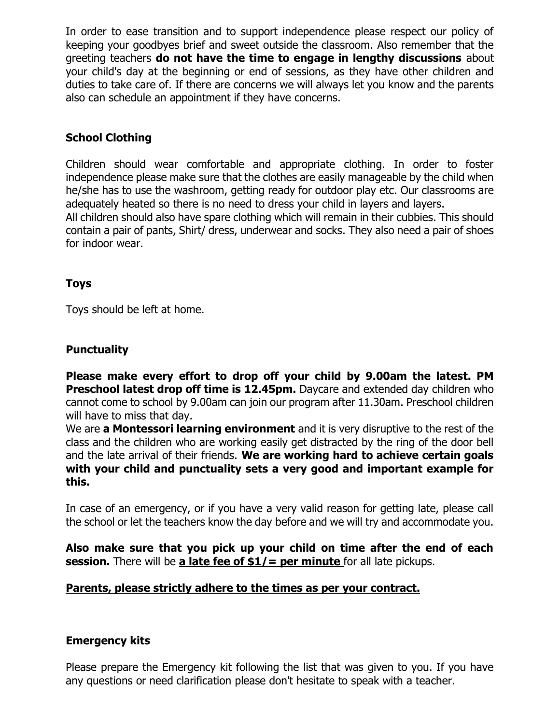In order to ease transition and to support independence please respect our policy of keeping your goodbyes brief and sweet outside the classroom. Also remember that the greeting teachers **do not have the time to engage in lengthy discussions** about your child's day at the beginning or end of sessions, as they have other children and duties to take care of. If there are concerns we will always let you know and the parents also can schedule an appointment if they have concerns.

## **School Clothing**

Children should wear comfortable and appropriate clothing. In order to foster independence please make sure that the clothes are easily manageable by the child when he/she has to use the washroom, getting ready for outdoor play etc. Our classrooms are adequately heated so there is no need to dress your child in layers and layers.

All children should also have spare clothing which will remain in their cubbies. This should contain a pair of pants, Shirt/ dress, underwear and socks. They also need a pair of shoes for indoor wear.

#### **Toys**

Toys should be left at home.

#### **Punctuality**

**Please make every effort to drop off your child by 9.00am the latest. PM Preschool latest drop off time is 12.45pm.** Daycare and extended day children who cannot come to school by 9.00am can join our program after 11.30am. Preschool children will have to miss that day.

We are **a Montessori learning environment** and it is very disruptive to the rest of the class and the children who are working easily get distracted by the ring of the door bell and the late arrival of their friends. **We are working hard to achieve certain goals with your child and punctuality sets a very good and important example for this.**

In case of an emergency, or if you have a very valid reason for getting late, please call the school or let the teachers know the day before and we will try and accommodate you.

**Also make sure that you pick up your child on time after the end of each session.** There will be **a late fee of \$1/= per minute** for all late pickups.

#### **Parents, please strictly adhere to the times as per your contract.**

#### **Emergency kits**

Please prepare the Emergency kit following the list that was given to you. If you have any questions or need clarification please don't hesitate to speak with a teacher.